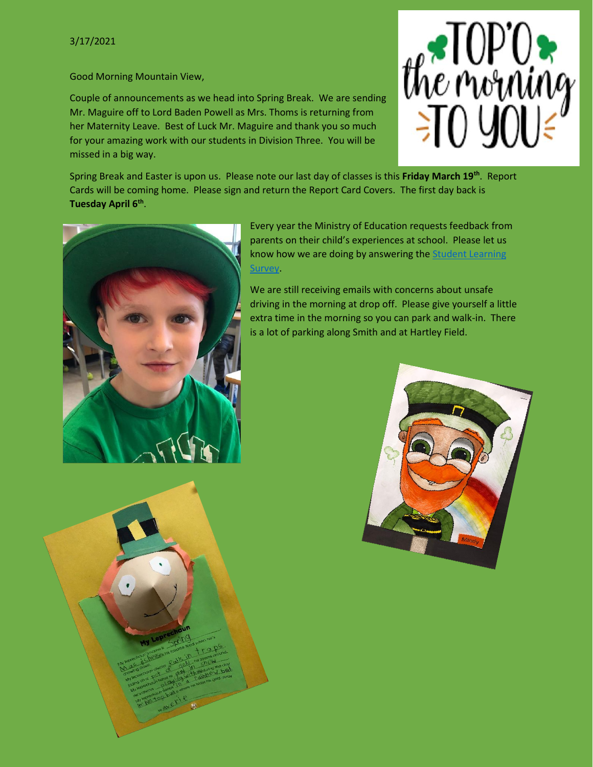Good Morning Mountain View,

Couple of announcements as we head into Spring Break. We are sending Mr. Maguire off to Lord Baden Powell as Mrs. Thoms is returning from her Maternity Leave. Best of Luck Mr. Maguire and thank you so much for your amazing work with our students in Division Three. You will be missed in a big way.



Spring Break and Easter is upon us. Please note our last day of classes is this **Friday March 19th**. Report Cards will be coming home. Please sign and return the Report Card Covers. The first day back is **Tuesday April 6th** .



Every year the Ministry of Education requests feedback from parents on their child's experiences at school. Please let us know how we are doing by answering the Student Learning [Survey.](https://www.awinfosys.com/SurveyFull1/central/main/access.asp)

We are still receiving emails with concerns about unsafe driving in the morning at drop off. Please give yourself a little extra time in the morning so you can park and walk-in. There is a lot of parking along Smith and at Hartley Field.